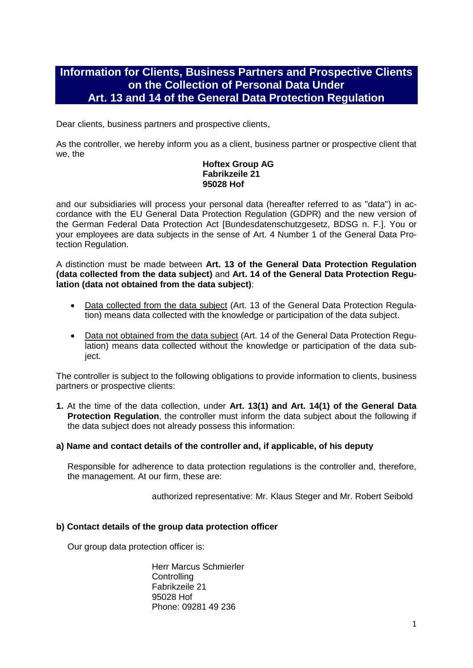# **Information for Clients, Business Partners and Prospective Clients on the Collection of Personal Data Under Art. 13 and 14 of the General Data Protection Regulation**

Dear clients, business partners and prospective clients,

As the controller, we hereby inform you as a client, business partner or prospective client that we, the

# **Hoftex Group AG Fabrikzeile 21 95028 Hof**

and our subsidiaries will process your personal data (hereafter referred to as "data") in accordance with the EU General Data Protection Regulation (GDPR) and the new version of the German Federal Data Protection Act [Bundesdatenschutzgesetz, BDSG n. F.]. You or your employees are data subjects in the sense of Art. 4 Number 1 of the General Data Protection Regulation.

A distinction must be made between **Art. 13 of the General Data Protection Regulation (data collected from the data subject)** and **Art. 14 of the General Data Protection Regulation (data not obtained from the data subject)**:

- Data collected from the data subject (Art. 13 of the General Data Protection Regulation) means data collected with the knowledge or participation of the data subject.
- Data not obtained from the data subject (Art. 14 of the General Data Protection Regulation) means data collected without the knowledge or participation of the data subject.

The controller is subject to the following obligations to provide information to clients, business partners or prospective clients:

- **1.** At the time of the data collection, under **Art. 13(1) and Art. 14(1) of the General Data Protection Regulation**, the controller must inform the data subject about the following if the data subject does not already possess this information:
- **a) Name and contact details of the controller and, if applicable, of his deputy**

Responsible for adherence to data protection regulations is the controller and, therefore, the management. At our firm, these are:

authorized representative: Mr. Klaus Steger and Mr. Robert Seibold

# **b) Contact details of the group data protection officer**

Our group data protection officer is:

Herr Marcus Schmierler **Controlling** Fabrikzeile 21 95028 Hof Phone: 09281 49 236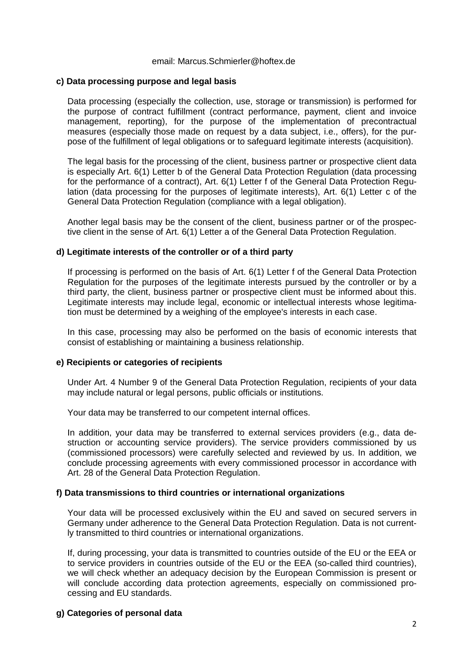#### email: Marcus.Schmierler@hoftex.de

#### **c) Data processing purpose and legal basis**

Data processing (especially the collection, use, storage or transmission) is performed for the purpose of contract fulfillment (contract performance, payment, client and invoice management, reporting), for the purpose of the implementation of precontractual measures (especially those made on request by a data subject, i.e., offers), for the purpose of the fulfillment of legal obligations or to safeguard legitimate interests (acquisition).

The legal basis for the processing of the client, business partner or prospective client data is especially Art. 6(1) Letter b of the General Data Protection Regulation (data processing for the performance of a contract), Art. 6(1) Letter f of the General Data Protection Regulation (data processing for the purposes of legitimate interests), Art. 6(1) Letter c of the General Data Protection Regulation (compliance with a legal obligation).

Another legal basis may be the consent of the client, business partner or of the prospective client in the sense of Art. 6(1) Letter a of the General Data Protection Regulation.

#### **d) Legitimate interests of the controller or of a third party**

If processing is performed on the basis of Art. 6(1) Letter f of the General Data Protection Regulation for the purposes of the legitimate interests pursued by the controller or by a third party, the client, business partner or prospective client must be informed about this. Legitimate interests may include legal, economic or intellectual interests whose legitimation must be determined by a weighing of the employee's interests in each case.

In this case, processing may also be performed on the basis of economic interests that consist of establishing or maintaining a business relationship.

## **e) Recipients or categories of recipients**

Under Art. 4 Number 9 of the General Data Protection Regulation, recipients of your data may include natural or legal persons, public officials or institutions.

Your data may be transferred to our competent internal offices.

In addition, your data may be transferred to external services providers (e.g., data destruction or accounting service providers). The service providers commissioned by us (commissioned processors) were carefully selected and reviewed by us. In addition, we conclude processing agreements with every commissioned processor in accordance with Art. 28 of the General Data Protection Regulation.

#### **f) Data transmissions to third countries or international organizations**

Your data will be processed exclusively within the EU and saved on secured servers in Germany under adherence to the General Data Protection Regulation. Data is not currently transmitted to third countries or international organizations.

If, during processing, your data is transmitted to countries outside of the EU or the EEA or to service providers in countries outside of the EU or the EEA (so-called third countries), we will check whether an adequacy decision by the European Commission is present or will conclude according data protection agreements, especially on commissioned processing and EU standards.

## **g) Categories of personal data**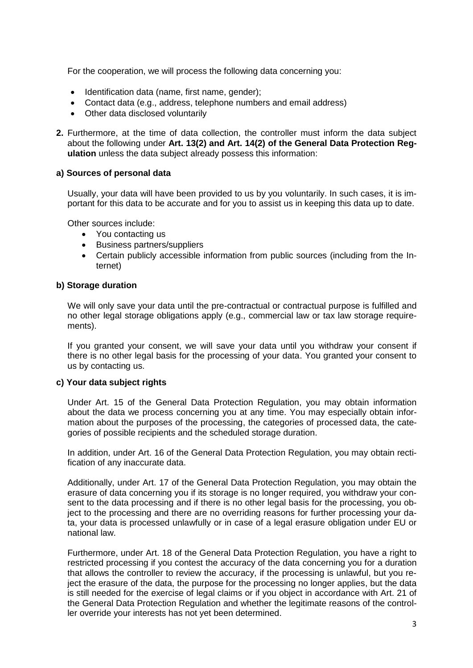For the cooperation, we will process the following data concerning you:

- Identification data (name, first name, gender);
- Contact data (e.g., address, telephone numbers and email address)
- Other data disclosed voluntarily
- **2.** Furthermore, at the time of data collection, the controller must inform the data subject about the following under **Art. 13(2) and Art. 14(2) of the General Data Protection Regulation** unless the data subject already possess this information:

# **a) Sources of personal data**

Usually, your data will have been provided to us by you voluntarily. In such cases, it is important for this data to be accurate and for you to assist us in keeping this data up to date.

Other sources include:

- You contacting us
- Business partners/suppliers
- Certain publicly accessible information from public sources (including from the Internet)

## **b) Storage duration**

We will only save your data until the pre-contractual or contractual purpose is fulfilled and no other legal storage obligations apply (e.g., commercial law or tax law storage requirements).

If you granted your consent, we will save your data until you withdraw your consent if there is no other legal basis for the processing of your data. You granted your consent to us by contacting us.

## **c) Your data subject rights**

Under Art. 15 of the General Data Protection Regulation, you may obtain information about the data we process concerning you at any time. You may especially obtain information about the purposes of the processing, the categories of processed data, the categories of possible recipients and the scheduled storage duration.

In addition, under Art. 16 of the General Data Protection Regulation, you may obtain rectification of any inaccurate data.

Additionally, under Art. 17 of the General Data Protection Regulation, you may obtain the erasure of data concerning you if its storage is no longer required, you withdraw your consent to the data processing and if there is no other legal basis for the processing, you object to the processing and there are no overriding reasons for further processing your data, your data is processed unlawfully or in case of a legal erasure obligation under EU or national law.

Furthermore, under Art. 18 of the General Data Protection Regulation, you have a right to restricted processing if you contest the accuracy of the data concerning you for a duration that allows the controller to review the accuracy, if the processing is unlawful, but you reject the erasure of the data, the purpose for the processing no longer applies, but the data is still needed for the exercise of legal claims or if you object in accordance with Art. 21 of the General Data Protection Regulation and whether the legitimate reasons of the controller override your interests has not yet been determined.